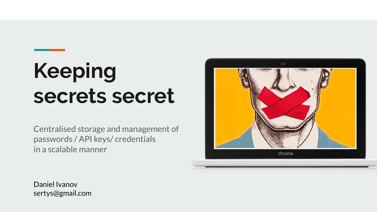# **Keeping secrets secret**

Centralised storage and management of passwords / API keys/ credentials in a scalable manner



Daniel Ivanov sertys@gmail.com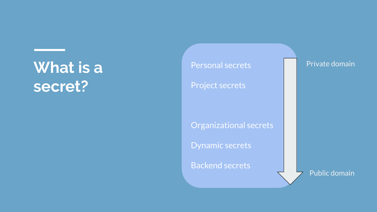### **What is a secret?**

#### Personal secrets

#### Project secrets

#### Organizational secrets

#### Dynamic secrets

#### **Backend secrets**

#### Public domain

Private domain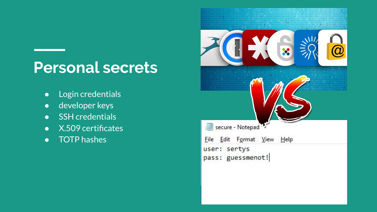### **Personal secrets**

- Login credentials
- developer keys
- **•** SSH credentials
- X.509 certificates
- TOTP hashes

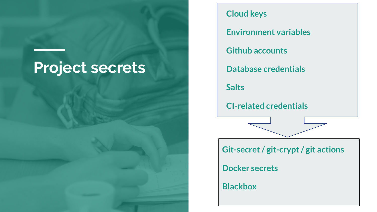### **Project secrets**

#### **Cloud keys**

**Environment variables**

**Github accounts**

**Database credentials**

**Salts**

**CI-related credentials**

**Git-secret / git-crypt / git actions**

**Docker secrets**

**Blackbox**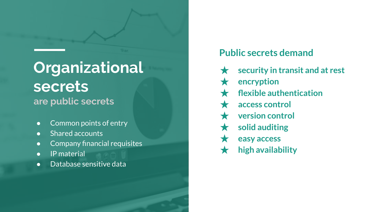### **Organizational secrets are public secrets**

- Common points of entry
- Shared accounts
- Company financial requisites
- IP material
- Database sensitive data

#### **Public secrets demand**

- security in transit and at rest
- **encryption**
- **flexible authentication**
- access control
- **version control**
- solid auditing
- ★ **easy access**
- ★ **high availability**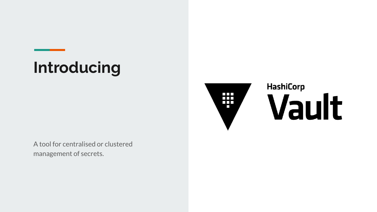# **Introducing**



# **HashiCorp** Vault

A tool for centralised or clustered management of secrets.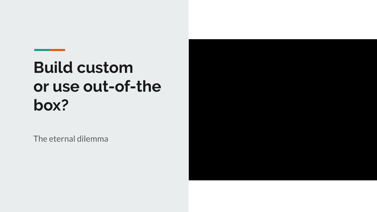# **Build custom or use out-of-the box?**

The eternal dilemma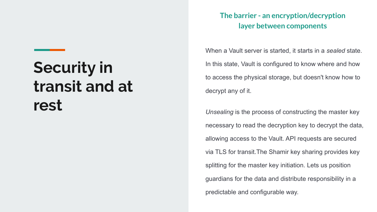# **Security in transit and at rest**

#### **The barrier - an encryption/decryption layer between components**

When a Vault server is started, it starts in a *sealed* state. In this state, Vault is configured to know where and how to access the physical storage, but doesn't know how to decrypt any of it.

*Unsealing* is the process of constructing the master key necessary to read the decryption key to decrypt the data, allowing access to the Vault. API requests are secured via TLS for transit.The Shamir key sharing provides key splitting for the master key initiation. Lets us position guardians for the data and distribute responsibility in a predictable and configurable way.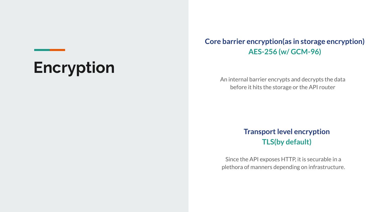# **Encryption**

#### **Core barrier encryption(as in storage encryption) AES-256 (w/ GCM-96)**

An internal barrier encrypts and decrypts the data before it hits the storage or the API router

#### **Transport level encryption TLS(by default)**

Since the API exposes HTTP, it is securable in a plethora of manners depending on infrastructure.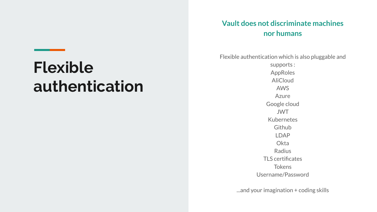#### **Vault does not discriminate machines nor humans**

### **Flexible authentication**

Flexible authentication which is also pluggable and

supports : AppRoles AliCloud AWS Azure Google cloud JWT Kubernetes Github LDAP **Okta** Radius TLS certificates Tokens Username/Password

...and your imagination + coding skills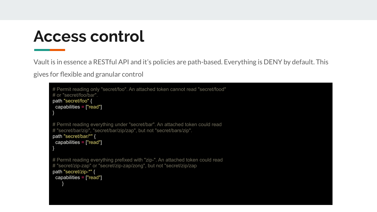### **Access control**

Vault is in essence a RESTful API and it's policies are path-based. Everything is DENY by default. This

gives for flexible and granular control

```
# Permit reading only "secret/foo". An attached token cannot read "secret/food"
# or "secret/foo/bar".
path "secret/foo" {
  capabilities = ["read"] 
}
# Permit reading everything under "secret/bar". An attached token could read
# "secret/bar/zip", "secret/bar/zip/zap", but not "secret/bars/zip".
path "secret/bar/*" {
  capabilities = ["read"]
}
# Permit reading everything prefixed with "zip-". An attached token could read
# "secret/zip-zap" or "secret/zip-zap/zong", but not "secret/zip/zap
path "secret/zip-*" {
  capabilities = ["read"]
     }
```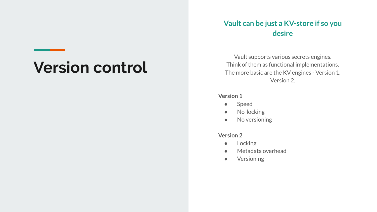# **Version control**

#### **Vault can be just a KV-store if so you desire**

Vault supports various secrets engines. Think of them as functional implementations. The more basic are the KV engines - Version 1, Version 2.

#### **Version 1**

- Speed
- No-locking
- No versioning

#### **Version 2**

- Locking
- Metadata overhead
- Versioning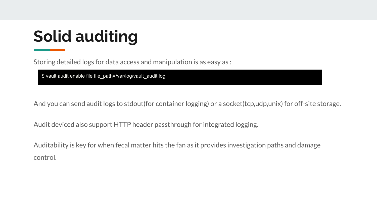# **Solid auditing**

Storing detailed logs for data access and manipulation is as easy as :

\$ vault audit enable file file\_path=/var/log/vault\_audit.log

And you can send audit logs to stdout(for container logging) or a socket(tcp,udp,unix) for off-site storage.

Audit deviced also support HTTP header passthrough for integrated logging.

Auditability is key for when fecal matter hits the fan as it provides investigation paths and damage control.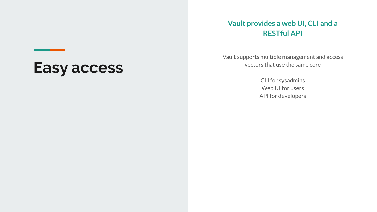#### **Vault provides a web UI, CLI and a RESTful API**

Vault supports multiple management and access vectors that use the same core

> CLI for sysadmins Web UI for users API for developers

### **Easy access**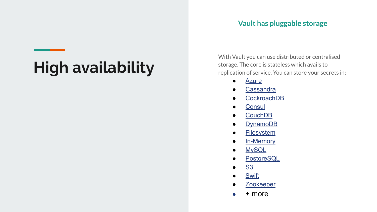#### **Vault has pluggable storage**

# **High availability**

With Vault you can use distributed or centralised storage. The core is stateless which avails to replication of service. You can store your secrets in:

- [Azure](https://www.vaultproject.io/docs/configuration/storage/azure.html)
- [Cassandra](https://www.vaultproject.io/docs/configuration/storage/cassandra.html)
- [CockroachDB](https://www.vaultproject.io/docs/configuration/storage/cockroachdb.html)
- [Consul](https://www.vaultproject.io/docs/configuration/storage/consul.html)
- [CouchDB](https://www.vaultproject.io/docs/configuration/storage/couchdb.html)
- [DynamoDB](https://www.vaultproject.io/docs/configuration/storage/dynamodb.html)
- [Filesystem](https://www.vaultproject.io/docs/configuration/storage/filesystem.html)
- [In-Memory](https://www.vaultproject.io/docs/configuration/storage/in-memory.html)
- [MySQL](https://www.vaultproject.io/docs/configuration/storage/mysql.html)
- [PostgreSQL](https://www.vaultproject.io/docs/configuration/storage/postgresql.html)
- [S3](https://www.vaultproject.io/docs/configuration/storage/s3.html)
- [Swift](https://www.vaultproject.io/docs/configuration/storage/swift.html)
- [Zookeeper](https://www.vaultproject.io/docs/configuration/storage/zookeeper.html)
- $\bullet$  + more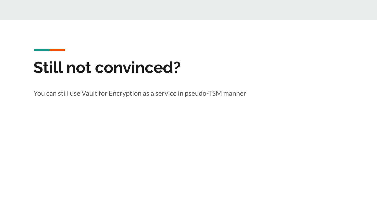# **Still not convinced?**

You can still use Vault for Encryption as a service in pseudo-TSM manner